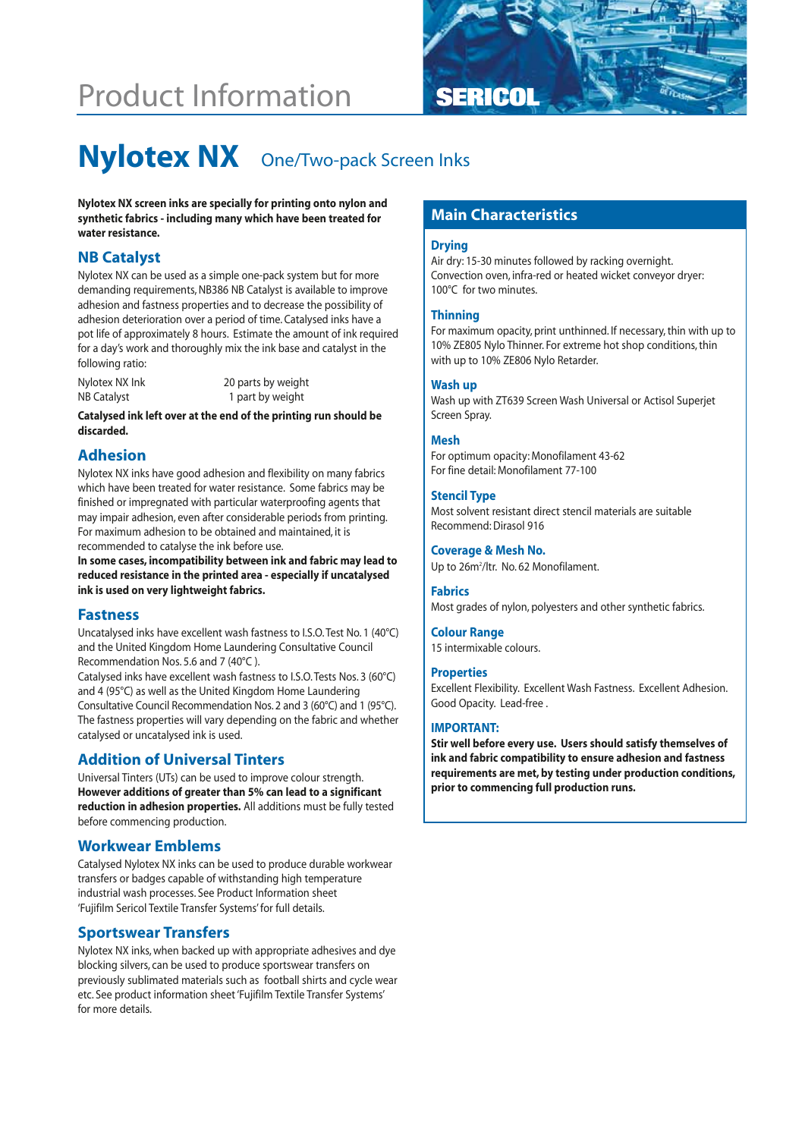# Product Information



# **Nylotex NX** One/Two-pack Screen Inks

Nylotex NX screen inks are specially for printing onto nylon and<br>synthetic fabrics - including many which have been treated for**ich and Main Characteristics water resistance.**

# **NB Catalyst**

Nylotex NX can be used as a simple one-pack system but for more demanding requirements, NB386 NB Catalyst is available to improve adhesion and fastness properties and to decrease the possibility of adhesion deterioration over a period of time. Catalysed inks have a pot life of approximately 8 hours. Estimate the amount of ink required for a day's work and thoroughly mix the ink base and catalyst in the following ratio:

Nylotex NX Ink 20 parts by weight

NB Catalyst 1 part by weight

**Catalysed ink left over at the end of the printing run should be discarded.**

# **Adhesion**

Nylotex NX inks have good adhesion and flexibility on many fabrics which have been treated for water resistance. Some fabrics may be finished or impregnated with particular waterproofing agents that may impair adhesion, even after considerable periods from printing. For maximum adhesion to be obtained and maintained, it is recommended to catalyse the ink before use.

**In some cases, incompatibility between ink and fabric may lead to reduced resistance in the printed area - especially if uncatalysed ink is used on very lightweight fabrics.**

# **Fastness**

Uncatalysed inks have excellent wash fastness to I.S.O. Test No. 1 (40°C) and the United Kingdom Home Laundering Consultative Council Recommendation Nos. 5.6 and 7 (40°C ).

Catalysed inks have excellent wash fastness to I.S.O. Tests Nos. 3 (60°C) and 4 (95°C) as well as the United Kingdom Home Laundering Consultative Council Recommendation Nos. 2 and 3 (60°C) and 1 (95°C). The fastness properties will vary depending on the fabric and whether catalysed or uncatalysed ink is used.

# **Addition of Universal Tinters**

Universal Tinters (UTs) can be used to improve colour strength. **However additions of greater than 5% can lead to a significant reduction in adhesion properties.** All additions must be fully tested before commencing production.

# **Workwear Emblems**

Catalysed Nylotex NX inks can be used to produce durable workwear transfers or badges capable of withstanding high temperature industrial wash processes. See Product Information sheet 'Fujifilm Sericol Textile Transfer Systems' for full details.

# **Sportswear Transfers**

Nylotex NX inks, when backed up with appropriate adhesives and dye blocking silvers, can be used to produce sportswear transfers on previously sublimated materials such as football shirts and cycle wear etc. See product information sheet 'Fujifilm Textile Transfer Systems' for more details.

#### **Drying**

Air dry: 15-30 minutes followed by racking overnight. Convection oven, infra-red or heated wicket conveyor dryer: 100°C for two minutes.

#### **Thinning**

For maximum opacity, print unthinned. If necessary, thin with up to 10% ZE805 Nylo Thinner. For extreme hot shop conditions, thin with up to 10% ZE806 Nylo Retarder.

#### **Wash up**

Wash up with ZT639 Screen Wash Universal or Actisol Superjet Screen Spray.

#### **Mesh**

For optimum opacity: Monofilament 43-62 For fine detail: Monofilament 77-100

#### **Stencil Type**

Most solvent resistant direct stencil materials are suitable Recommend: Dirasol 916

#### **Coverage & Mesh No.**

Up to 26m<sup>2</sup>/ltr. No. 62 Monofilament.

#### **Fabrics**

Most grades of nylon, polyesters and other synthetic fabrics.

#### **Colour Range**

15 intermixable colours.

#### **Properties**

Excellent Flexibility. Excellent Wash Fastness. Excellent Adhesion. Good Opacity. Lead-free .

#### **IMPORTANT:**

**Stir well before every use. Users should satisfy themselves of ink and fabric compatibility to ensure adhesion and fastness requirements are met, by testing under production conditions, prior to commencing full production runs.**